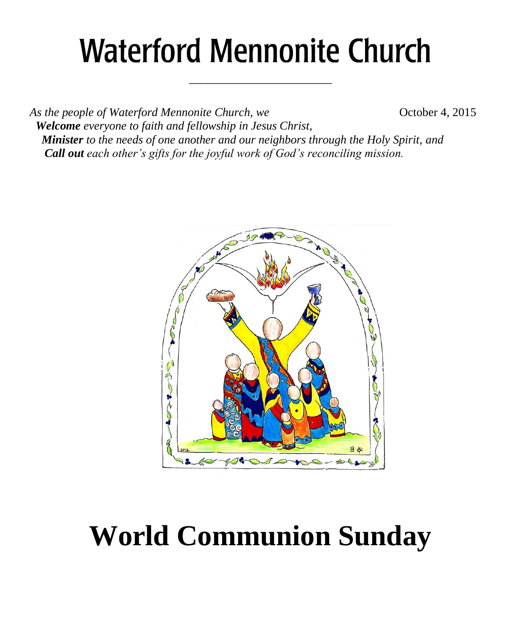# **Waterford Mennonite Church**

\_\_\_\_\_\_\_\_\_\_\_\_\_\_\_\_\_\_\_\_\_\_\_\_

*As the people of Waterford Mennonite Church, we* **Change 6.4 October 4, 2015**  *Welcome everyone to faith and fellowship in Jesus Christ, Minister to the needs of one another and our neighbors through the Holy Spirit, and Call out each other's gifts for the joyful work of God's reconciling mission.*



# **World Communion Sunday**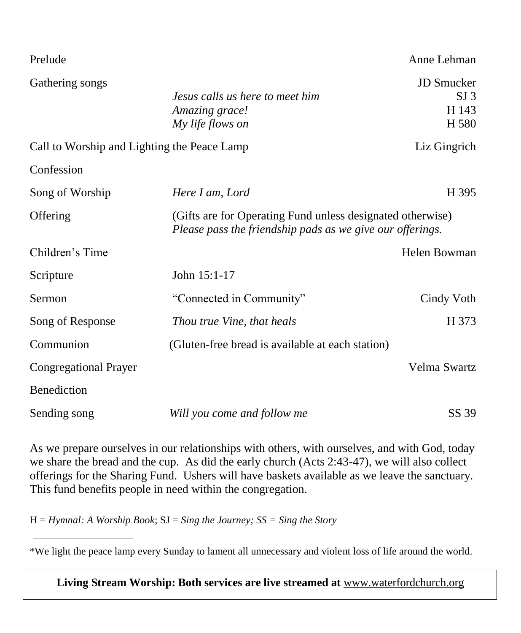| Prelude                                     |                                                                                                                         | Anne Lehman                                            |  |
|---------------------------------------------|-------------------------------------------------------------------------------------------------------------------------|--------------------------------------------------------|--|
| Gathering songs                             | Jesus calls us here to meet him<br>Amazing grace!<br>My life flows on                                                   | <b>JD</b> Smucker<br>SI <sub>3</sub><br>H 143<br>H 580 |  |
| Call to Worship and Lighting the Peace Lamp |                                                                                                                         | Liz Gingrich                                           |  |
| Confession                                  |                                                                                                                         |                                                        |  |
| Song of Worship                             | Here I am, Lord                                                                                                         | H 395                                                  |  |
| Offering                                    | (Gifts are for Operating Fund unless designated otherwise)<br>Please pass the friendship pads as we give our offerings. |                                                        |  |
| Children's Time                             |                                                                                                                         | Helen Bowman                                           |  |
| Scripture                                   | John 15:1-17                                                                                                            |                                                        |  |
| Sermon                                      | "Connected in Community"                                                                                                | Cindy Voth                                             |  |
| Song of Response                            | Thou true Vine, that heals                                                                                              | H 373                                                  |  |
| Communion                                   | (Gluten-free bread is available at each station)                                                                        |                                                        |  |
| <b>Congregational Prayer</b>                |                                                                                                                         | Velma Swartz                                           |  |
| Benediction                                 |                                                                                                                         |                                                        |  |
| Sending song                                | Will you come and follow me                                                                                             | SS 39                                                  |  |

As we prepare ourselves in our relationships with others, with ourselves, and with God, today we share the bread and the cup. As did the early church (Acts 2:43-47), we will also collect offerings for the Sharing Fund. Ushers will have baskets available as we leave the sanctuary. This fund benefits people in need within the congregation.

H = *Hymnal: A Worship Book*; SJ = *Sing the Journey; SS = Sing the Story*

\*We light the peace lamp every Sunday to lament all unnecessary and violent loss of life around the world.

**Living Stream Worship: Both services are live streamed at** [www.waterfordchurch.org](http://www.waterfordchurch.org/)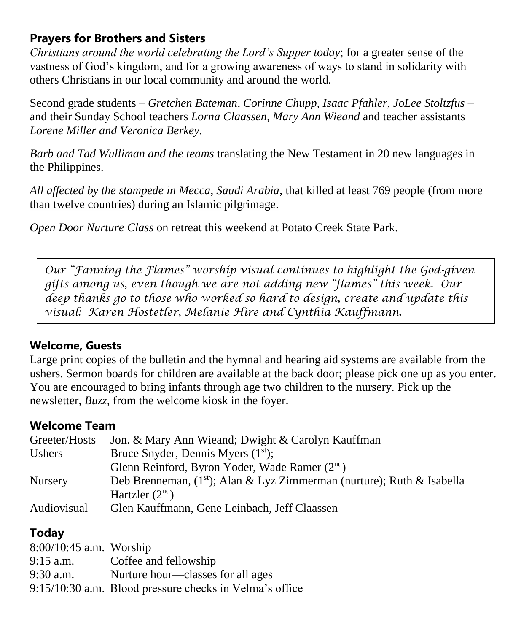## **Prayers for Brothers and Sisters**

*Christians around the world celebrating the Lord's Supper today*; for a greater sense of the vastness of God's kingdom, and for a growing awareness of ways to stand in solidarity with others Christians in our local community and around the world.

Second grade students *– Gretchen Bateman, Corinne Chupp, Isaac Pfahler, JoLee Stoltzfus –* and their Sunday School teachers *Lorna Claassen, Mary Ann Wieand* and teacher assistants *Lorene Miller and Veronica Berkey.*

*Barb and Tad Wulliman and the teams* translating the New Testament in 20 new languages in the Philippines.

*All affected by the stampede in Mecca, Saudi Arabia*, that killed at least 769 people (from more than twelve countries) during an Islamic pilgrimage.

*Open Door Nurture Class* on retreat this weekend at Potato Creek State Park.

*Our "Fanning the Flames" worship visual continues to highlight the God-given gifts among us, even though we are not adding new "flames" this week. Our deep thanks go to those who worked so hard to design, create and update this visual: Karen Hostetler, Melanie Hire and Cynthia Kauffmann.*

#### **Welcome, Guests**

Large print copies of the bulletin and the hymnal and hearing aid systems are available from the ushers. Sermon boards for children are available at the back door; please pick one up as you enter. You are encouraged to bring infants through age two children to the nursery. Pick up the newsletter, *Buzz,* from the welcome kiosk in the foyer.

#### **Welcome Team**

| Greeter/Hosts  | Jon. & Mary Ann Wieand; Dwight & Carolyn Kauffman                           |
|----------------|-----------------------------------------------------------------------------|
| Ushers         | Bruce Snyder, Dennis Myers $(1st)$ ;                                        |
|                | Glenn Reinford, Byron Yoder, Wade Ramer (2 <sup>nd</sup> )                  |
| <b>Nursery</b> | Deb Brenneman, $(1^{st})$ ; Alan & Lyz Zimmerman (nurture); Ruth & Isabella |
|                | Hartzler $(2nd)$                                                            |
| Audiovisual    | Glen Kauffmann, Gene Leinbach, Jeff Claassen                                |

#### **Today**

| $8:00/10:45$ a.m. Worship |                                                         |
|---------------------------|---------------------------------------------------------|
| $9:15$ a.m.               | Coffee and fellowship                                   |
| $9:30$ a.m.               | Nurture hour—classes for all ages                       |
|                           | 9:15/10:30 a.m. Blood pressure checks in Velma's office |